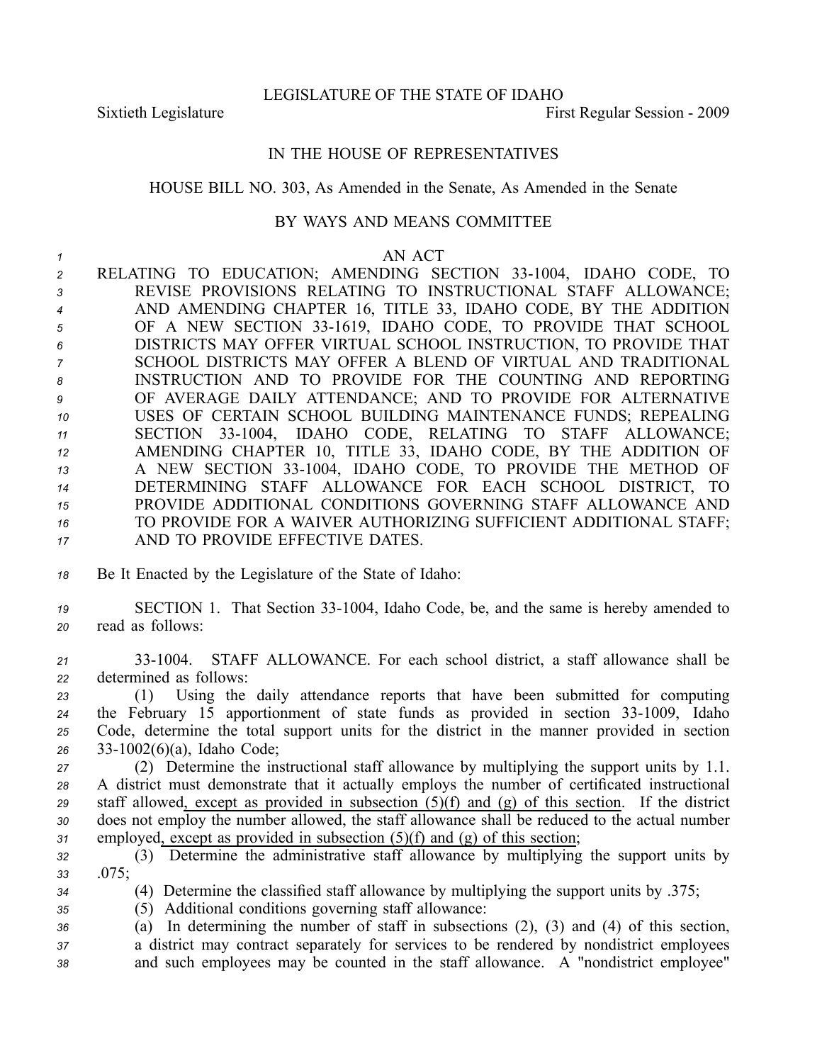LEGISLATURE OF THE STATE OF IDAHO

Sixtieth Legislature First Regular Session - 2009

## IN THE HOUSE OF REPRESENTATIVES

## HOUSE BILL NO. 303, As Amended in the Senate, As Amended in the Senate

## BY WAYS AND MEANS COMMITTEE

## *<sup>1</sup>* AN ACT

2 RELATING TO EDUCATION; AMENDING SECTION 33-1004, IDAHO CODE, TO REVISE PROVISIONS RELATING TO INSTRUCTIONAL STAFF ALLOWANCE; AND AMENDING CHAPTER 16, TITLE 33, IDAHO CODE, BY THE ADDITION 5 OF A NEW SECTION 33-1619, IDAHO CODE, TO PROVIDE THAT SCHOOL DISTRICTS MAY OFFER VIRTUAL SCHOOL INSTRUCTION, TO PROVIDE THAT SCHOOL DISTRICTS MAY OFFER A BLEND OF VIRTUAL AND TRADITIONAL INSTRUCTION AND TO PROVIDE FOR THE COUNTING AND REPORTING OF AVERAGE DAILY ATTENDANCE; AND TO PROVIDE FOR ALTERNATIVE USES OF CERTAIN SCHOOL BUILDING MAINTENANCE FUNDS; REPEALING 11 SECTION 33-1004, IDAHO CODE, RELATING TO STAFF ALLOWANCE; AMENDING CHAPTER 10, TITLE 33, IDAHO CODE, BY THE ADDITION OF 13 A NEW SECTION 33-1004, IDAHO CODE, TO PROVIDE THE METHOD OF DETERMINING STAFF ALLOWANCE FOR EACH SCHOOL DISTRICT, TO PROVIDE ADDITIONAL CONDITIONS GOVERNING STAFF ALLOWANCE AND TO PROVIDE FOR A WAIVER AUTHORIZING SUFFICIENT ADDITIONAL STAFF; AND TO PROVIDE EFFECTIVE DATES.

- *<sup>18</sup>* Be It Enacted by the Legislature of the State of Idaho:
- *<sup>19</sup>* SECTION 1. That Section 331004, Idaho Code, be, and the same is hereby amended to *<sup>20</sup>* read as follows:
- *<sup>21</sup>* 331004. STAFF ALLOWANCE. For each school district, <sup>a</sup> staff allowance shall be *<sup>22</sup>* determined as follows:

 (1) Using the daily attendance reports that have been submitted for computing 24 the February 15 apportionment of state funds as provided in section 33-1009, Idaho Code, determine the total suppor<sup>t</sup> units for the district in the manner provided in section 331002(6)(a), Idaho Code;

 (2) Determine the instructional staff allowance by multiplying the suppor<sup>t</sup> units by 1.1. A district must demonstrate that it actually employs the number of certificated instructional staff allowed, excep<sup>t</sup> as provided in subsection (5)(f) and (g) of this section. If the district does not employ the number allowed, the staff allowance shall be reduced to the actual number employed, excep<sup>t</sup> as provided in subsection (5)(f) and (g) of this section;

- *<sup>32</sup>* (3) Determine the administrative staff allowance by multiplying the suppor<sup>t</sup> units by *<sup>33</sup>* .075;
- *<sup>34</sup>* (4) Determine the classified staff allowance by multiplying the suppor<sup>t</sup> units by .375;

*<sup>35</sup>* (5) Additional conditions governing staff allowance:

*<sup>36</sup>* (a) In determining the number of staff in subsections (2), (3) and (4) of this section, *<sup>37</sup>* <sup>a</sup> district may contract separately for services to be rendered by nondistrict employees *<sup>38</sup>* and such employees may be counted in the staff allowance. A "nondistrict employee"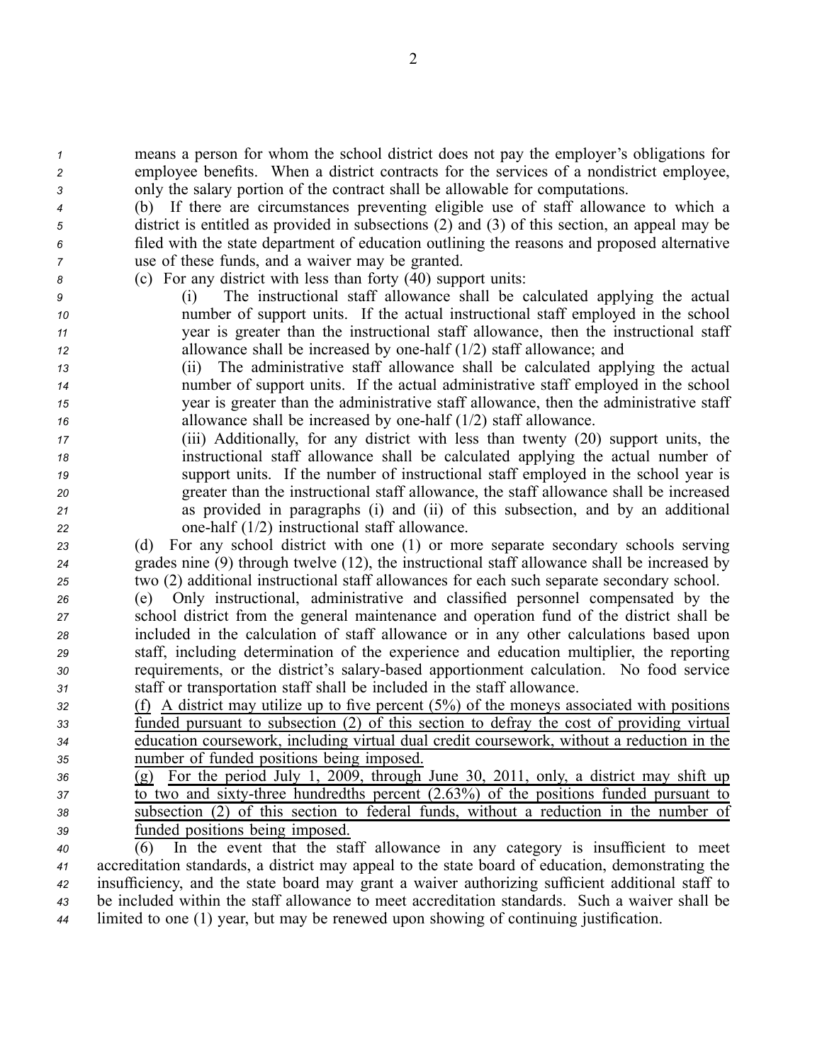*<sup>1</sup>* means <sup>a</sup> person for whom the school district does not pay the employer's obligations for *<sup>2</sup>* employee benefits. When <sup>a</sup> district contracts for the services of <sup>a</sup> nondistrict employee, *<sup>3</sup>* only the salary portion of the contract shall be allowable for computations.

 (b) If there are circumstances preventing eligible use of staff allowance to which <sup>a</sup> district is entitled as provided in subsections (2) and (3) of this section, an appeal may be filed with the state department of education outlining the reasons and proposed alternative use of these funds, and <sup>a</sup> waiver may be granted.

*<sup>8</sup>* (c) For any district with less than forty (40) suppor<sup>t</sup> units:

 (i) The instructional staff allowance shall be calculated applying the actual number of suppor<sup>t</sup> units. If the actual instructional staff employed in the school year is greater than the instructional staff allowance, then the instructional staff allowance shall be increased by onehalf (1/2) staff allowance; and

 (ii) The administrative staff allowance shall be calculated applying the actual number of suppor<sup>t</sup> units. If the actual administrative staff employed in the school year is greater than the administrative staff allowance, then the administrative staff allowance shall be increased by one-half (1/2) staff allowance.

 (iii) Additionally, for any district with less than twenty (20) suppor<sup>t</sup> units, the instructional staff allowance shall be calculated applying the actual number of suppor<sup>t</sup> units. If the number of instructional staff employed in the school year is greater than the instructional staff allowance, the staff allowance shall be increased as provided in paragraphs (i) and (ii) of this subsection, and by an additional onehalf (1/2) instructional staff allowance.

*<sup>23</sup>* (d) For any school district with one (1) or more separate secondary schools serving *<sup>24</sup>* grades nine (9) through twelve (12), the instructional staff allowance shall be increased by *<sup>25</sup>* two (2) additional instructional staff allowances for each such separate secondary school.

 (e) Only instructional, administrative and classified personnel compensated by the school district from the general maintenance and operation fund of the district shall be included in the calculation of staff allowance or in any other calculations based upon staff, including determination of the experience and education multiplier, the reporting requirements, or the district's salarybased apportionment calculation. No food service staff or transportation staff shall be included in the staff allowance.

 (f) A district may utilize up to five percen<sup>t</sup> (5%) of the moneys associated with positions funded pursuan<sup>t</sup> to subsection (2) of this section to defray the cost of providing virtual education coursework, including virtual dual credit coursework, without <sup>a</sup> reduction in the number of funded positions being imposed.

 (g) For the period July 1, 2009, through June 30, 2011, only, <sup>a</sup> district may shift up 37 to two and sixty-three hundredths percent (2.63%) of the positions funded pursuant to subsection (2) of this section to federal funds, without <sup>a</sup> reduction in the number of funded positions being imposed.

 (6) In the event that the staff allowance in any category is insufficient to meet accreditation standards, <sup>a</sup> district may appeal to the state board of education, demonstrating the insufficiency, and the state board may gran<sup>t</sup> <sup>a</sup> waiver authorizing sufficient additional staff to be included within the staff allowance to meet accreditation standards. Such <sup>a</sup> waiver shall be limited to one (1) year, but may be renewed upon showing of continuing justification.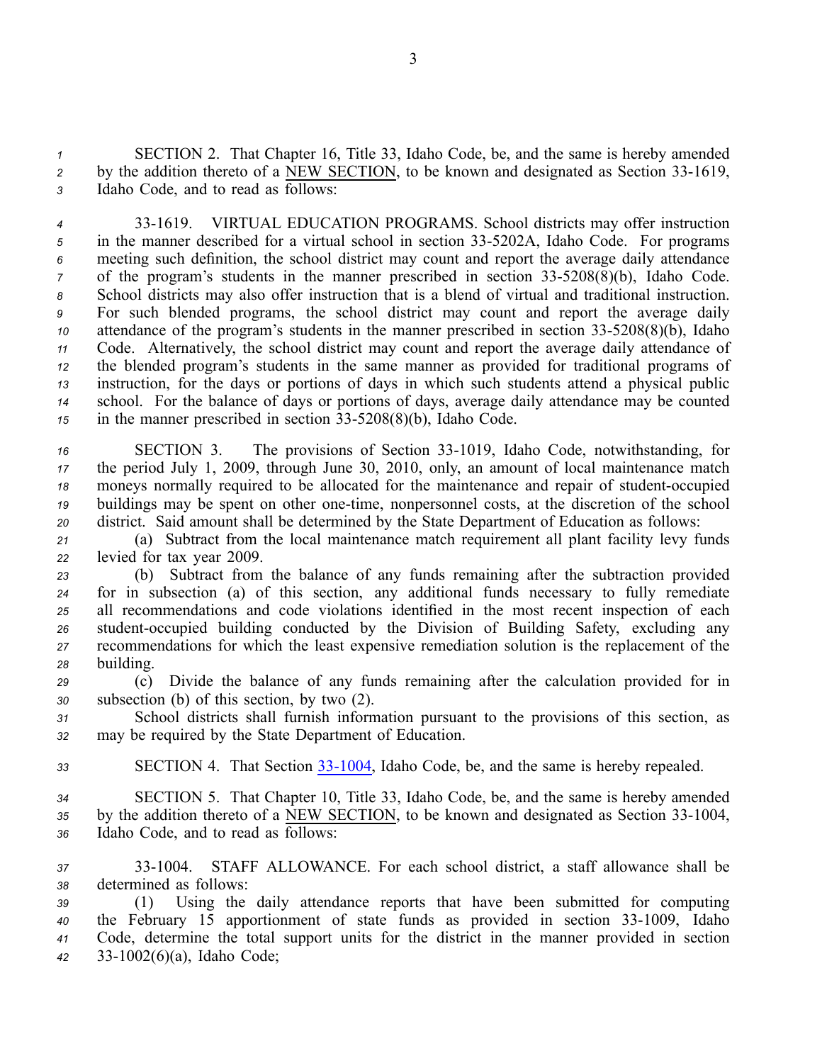*<sup>1</sup>* SECTION 2. That Chapter 16, Title 33, Idaho Code, be, and the same is hereby amended <sup>2</sup> by the addition thereto of a NEW SECTION, to be known and designated as Section 33-1619, *<sup>3</sup>* Idaho Code, and to read as follows:

 331619. VIRTUAL EDUCATION PROGRAMS. School districts may offer instruction 5 in the manner described for a virtual school in section 33-5202A, Idaho Code. For programs meeting such definition, the school district may count and repor<sup>t</sup> the average daily attendance of the program's students in the manner prescribed in section 33-5208(8)(b), Idaho Code. School districts may also offer instruction that is <sup>a</sup> blend of virtual and traditional instruction. For such blended programs, the school district may count and repor<sup>t</sup> the average daily attendance of the program's students in the manner prescribed in section 33-5208(8)(b), Idaho Code. Alternatively, the school district may count and repor<sup>t</sup> the average daily attendance of the blended program's students in the same manner as provided for traditional programs of instruction, for the days or portions of days in which such students attend <sup>a</sup> physical public school. For the balance of days or portions of days, average daily attendance may be counted in the manner prescribed in section 33-5208(8)(b), Idaho Code.

16 SECTION 3. The provisions of Section 33-1019, Idaho Code, notwithstanding, for the period July 1, 2009, through June 30, 2010, only, an amount of local maintenance match moneys normally required to be allocated for the maintenance and repair of student-occupied buildings may be spent on other one-time, nonpersonnel costs, at the discretion of the school district. Said amount shall be determined by the State Department of Education as follows:

*<sup>21</sup>* (a) Subtract from the local maintenance match requirement all plant facility levy funds *<sup>22</sup>* levied for tax year 2009.

 (b) Subtract from the balance of any funds remaining after the subtraction provided for in subsection (a) of this section, any additional funds necessary to fully remediate all recommendations and code violations identified in the most recent inspection of each 26 student-occupied building conducted by the Division of Building Safety, excluding any recommendations for which the least expensive remediation solution is the replacement of the building.

*<sup>29</sup>* (c) Divide the balance of any funds remaining after the calculation provided for in *<sup>30</sup>* subsection (b) of this section, by two (2).

*<sup>31</sup>* School districts shall furnish information pursuan<sup>t</sup> to the provisions of this section, as *<sup>32</sup>* may be required by the State Department of Education.

33 **SECTION 4.** That Section 33-1004, Idaho Code, be, and the same is hereby repealed.

*<sup>34</sup>* SECTION 5. That Chapter 10, Title 33, Idaho Code, be, and the same is hereby amended 35 by the addition thereto of a NEW SECTION, to be known and designated as Section 33-1004, *<sup>36</sup>* Idaho Code, and to read as follows:

*<sup>37</sup>* 331004. STAFF ALLOWANCE. For each school district, <sup>a</sup> staff allowance shall be *<sup>38</sup>* determined as follows:

 (1) Using the daily attendance reports that have been submitted for computing 40 the February 15 apportionment of state funds as provided in section 33-1009, Idaho Code, determine the total suppor<sup>t</sup> units for the district in the manner provided in section 331002(6)(a), Idaho Code;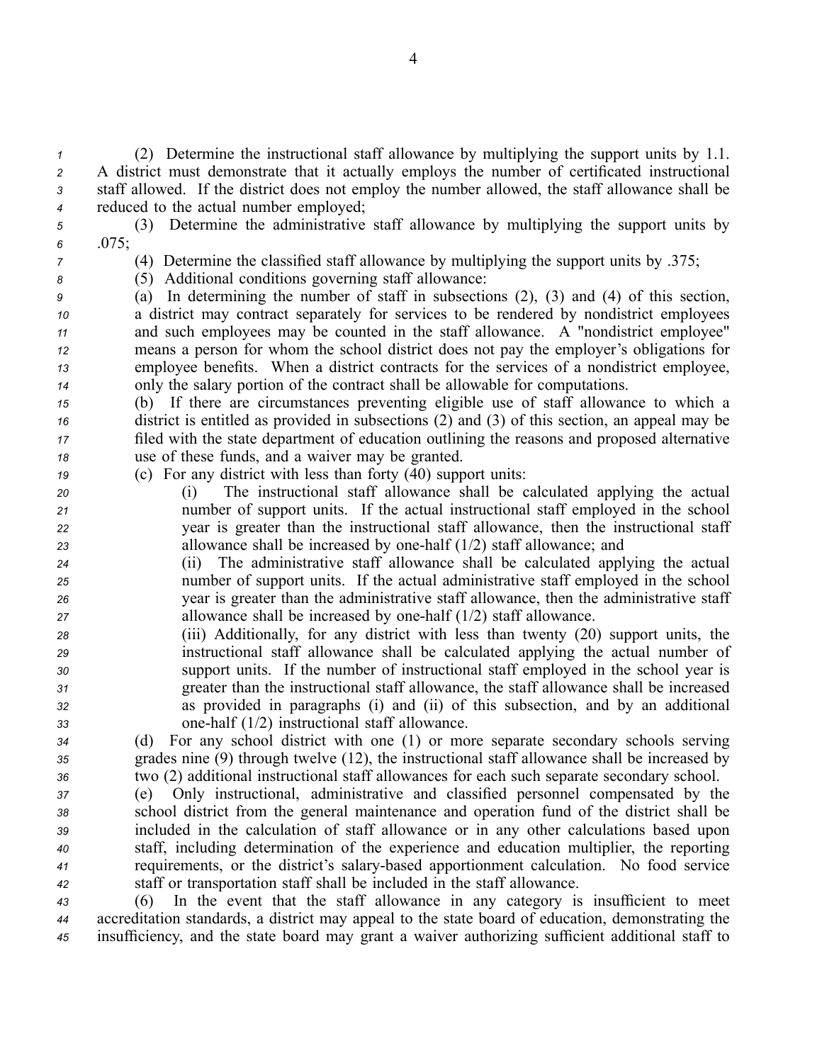(2) Determine the instructional staff allowance by multiplying the suppor<sup>t</sup> units by 1.1. A district must demonstrate that it actually employs the number of certificated instructional staff allowed. If the district does not employ the number allowed, the staff allowance shall be reduced to the actual number employed;

*<sup>5</sup>* (3) Determine the administrative staff allowance by multiplying the suppor<sup>t</sup> units by *<sup>6</sup>* .075;

- 
- 

*<sup>7</sup>* (4) Determine the classified staff allowance by multiplying the suppor<sup>t</sup> units by .375;

*<sup>8</sup>* (5) Additional conditions governing staff allowance:

 (a) In determining the number of staff in subsections (2), (3) and (4) of this section, <sup>a</sup> district may contract separately for services to be rendered by nondistrict employees and such employees may be counted in the staff allowance. A "nondistrict employee" means <sup>a</sup> person for whom the school district does not pay the employer's obligations for employee benefits. When <sup>a</sup> district contracts for the services of <sup>a</sup> nondistrict employee, only the salary portion of the contract shall be allowable for computations.

 (b) If there are circumstances preventing eligible use of staff allowance to which <sup>a</sup> district is entitled as provided in subsections (2) and (3) of this section, an appeal may be filed with the state department of education outlining the reasons and proposed alternative use of these funds, and <sup>a</sup> waiver may be granted.

*<sup>19</sup>* (c) For any district with less than forty (40) suppor<sup>t</sup> units:

 (i) The instructional staff allowance shall be calculated applying the actual number of suppor<sup>t</sup> units. If the actual instructional staff employed in the school year is greater than the instructional staff allowance, then the instructional staff allowance shall be increased by onehalf (1/2) staff allowance; and

 (ii) The administrative staff allowance shall be calculated applying the actual number of suppor<sup>t</sup> units. If the actual administrative staff employed in the school year is greater than the administrative staff allowance, then the administrative staff allowance shall be increased by onehalf (1/2) staff allowance.

 (iii) Additionally, for any district with less than twenty (20) suppor<sup>t</sup> units, the instructional staff allowance shall be calculated applying the actual number of suppor<sup>t</sup> units. If the number of instructional staff employed in the school year is greater than the instructional staff allowance, the staff allowance shall be increased as provided in paragraphs (i) and (ii) of this subsection, and by an additional onehalf (1/2) instructional staff allowance.

*<sup>34</sup>* (d) For any school district with one (1) or more separate secondary schools serving *<sup>35</sup>* grades nine (9) through twelve (12), the instructional staff allowance shall be increased by *<sup>36</sup>* two (2) additional instructional staff allowances for each such separate secondary school.

 (e) Only instructional, administrative and classified personnel compensated by the school district from the general maintenance and operation fund of the district shall be included in the calculation of staff allowance or in any other calculations based upon staff, including determination of the experience and education multiplier, the reporting requirements, or the district's salarybased apportionment calculation. No food service staff or transportation staff shall be included in the staff allowance.

*<sup>43</sup>* (6) In the event that the staff allowance in any category is insufficient to meet *<sup>44</sup>* accreditation standards, <sup>a</sup> district may appeal to the state board of education, demonstrating the *<sup>45</sup>* insufficiency, and the state board may gran<sup>t</sup> <sup>a</sup> waiver authorizing sufficient additional staff to